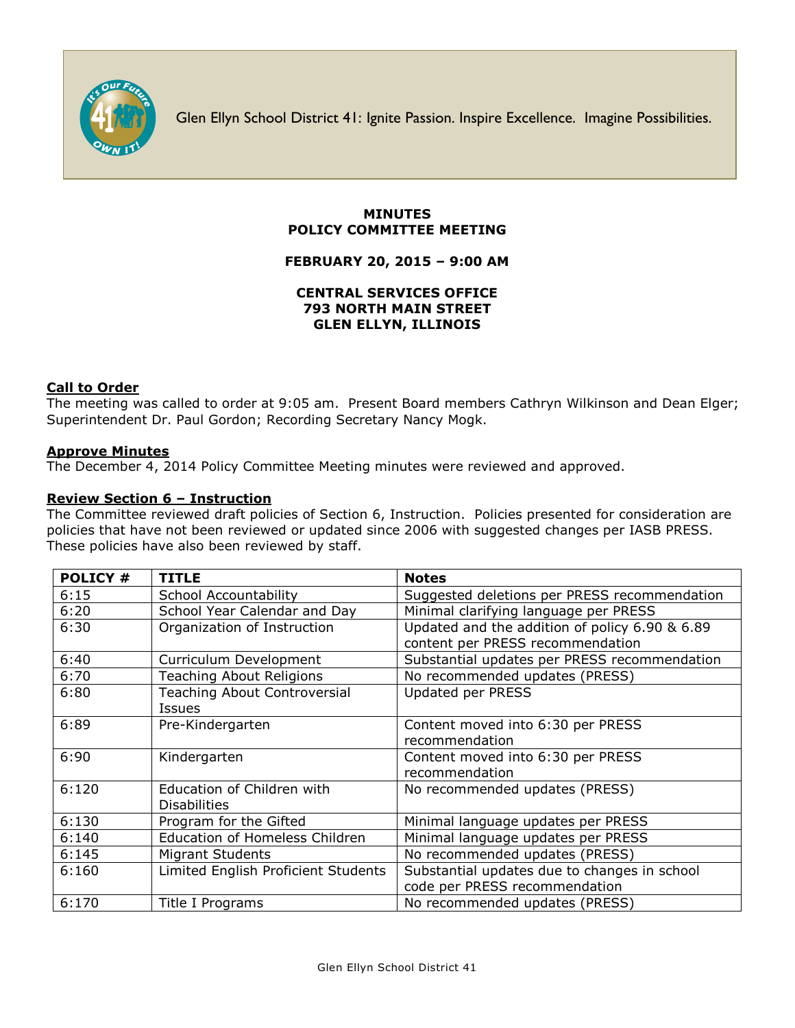

Glen Ellyn School District 41: Ignite Passion. Inspire Excellence. Imagine Possibilities.

## **MINUTES POLICY COMMITTEE MEETING**

#### **FEBRUARY 20, 2015 – 9:00 AM**

## **CENTRAL SERVICES OFFICE 793 NORTH MAIN STREET GLEN ELLYN, ILLINOIS**

#### **Call to Order**

The meeting was called to order at 9:05 am. Present Board members Cathryn Wilkinson and Dean Elger; Superintendent Dr. Paul Gordon; Recording Secretary Nancy Mogk.

#### **Approve Minutes**

The December 4, 2014 Policy Committee Meeting minutes were reviewed and approved.

#### **Review Section 6 – Instruction**

The Committee reviewed draft policies of Section 6, Instruction. Policies presented for consideration are policies that have not been reviewed or updated since 2006 with suggested changes per IASB PRESS. These policies have also been reviewed by staff.

| <b>POLICY #</b> | <b>TITLE</b>                                         | <b>Notes</b>                                                                       |
|-----------------|------------------------------------------------------|------------------------------------------------------------------------------------|
| 6:15            | School Accountability                                | Suggested deletions per PRESS recommendation                                       |
| 6:20            | School Year Calendar and Day                         | Minimal clarifying language per PRESS                                              |
| 6:30            | Organization of Instruction                          | Updated and the addition of policy 6.90 & 6.89<br>content per PRESS recommendation |
| 6:40            | Curriculum Development                               | Substantial updates per PRESS recommendation                                       |
| 6:70            | <b>Teaching About Religions</b>                      | No recommended updates (PRESS)                                                     |
| 6:80            | <b>Teaching About Controversial</b><br><b>Issues</b> | <b>Updated per PRESS</b>                                                           |
| 6:89            | Pre-Kindergarten                                     | Content moved into 6:30 per PRESS<br>recommendation                                |
| 6:90            | Kindergarten                                         | Content moved into 6:30 per PRESS<br>recommendation                                |
| 6:120           | Education of Children with<br><b>Disabilities</b>    | No recommended updates (PRESS)                                                     |
| 6:130           | Program for the Gifted                               | Minimal language updates per PRESS                                                 |
| 6:140           | <b>Education of Homeless Children</b>                | Minimal language updates per PRESS                                                 |
| 6:145           | <b>Migrant Students</b>                              | No recommended updates (PRESS)                                                     |
| 6:160           | Limited English Proficient Students                  | Substantial updates due to changes in school<br>code per PRESS recommendation      |
| 6:170           | Title I Programs                                     | No recommended updates (PRESS)                                                     |